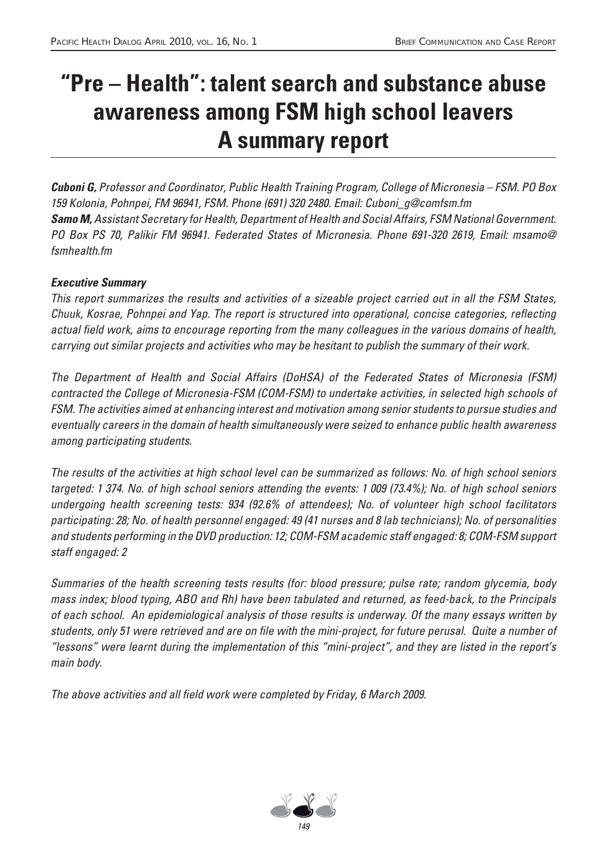# **"Pre – Health": talent search and substance abuse awareness among FSM high school leavers A summary report**

*Cuboni G,* Professor and Coordinator, Public Health Training Program, College of Micronesia – FSM. PO Box 159 Kolonia, Pohnpei, FM 96941, FSM. Phone (691) 320 2480. Email: Cuboni\_g@comfsm.fm *Samo M,* Assistant Secretary for Health, Department of Health and Social Affairs, FSM National Government. PO Box PS 70, Palikir FM 96941. Federated States of Micronesia. Phone 691-320 2619, Email: msamo@ fsmhealth.fm

#### *Executive Summary*

This report summarizes the results and activities of a sizeable project carried out in all the FSM States, Chuuk, Kosrae, Pohnpei and Yap. The report is structured into operational, concise categories, reflecting actual field work, aims to encourage reporting from the many colleagues in the various domains of health, carrying out similar projects and activities who may be hesitant to publish the summary of their work.

The Department of Health and Social Affairs (DoHSA) of the Federated States of Micronesia (FSM) contracted the College of Micronesia-FSM (COM-FSM) to undertake activities, in selected high schools of FSM. The activities aimed at enhancing interest and motivation among senior students to pursue studies and eventually careers in the domain of health simultaneously were seized to enhance public health awareness among participating students.

The results of the activities at high school level can be summarized as follows: No. of high school seniors targeted: 1 374. No. of high school seniors attending the events: 1 009 (73.4%); No. of high school seniors undergoing health screening tests: 934 (92.6% of attendees); No. of volunteer high school facilitators participating: 28; No. of health personnel engaged: 49 (41 nurses and 8 lab technicians); No. of personalities and students performing in the DVD production: 12; COM-FSM academic staff engaged: 8; COM-FSM support staff engaged: 2

Summaries of the health screening tests results (for: blood pressure; pulse rate; random glycemia, body mass index; blood typing, ABO and Rh) have been tabulated and returned, as feed-back, to the Principals of each school. An epidemiological analysis of those results is underway. Of the many essays written by students, only 51 were retrieved and are on file with the mini-project, for future perusal. Quite a number of "lessons" were learnt during the implementation of this "mini-project", and they are listed in the report's main body.

The above activities and all field work were completed by Friday, 6 March 2009.

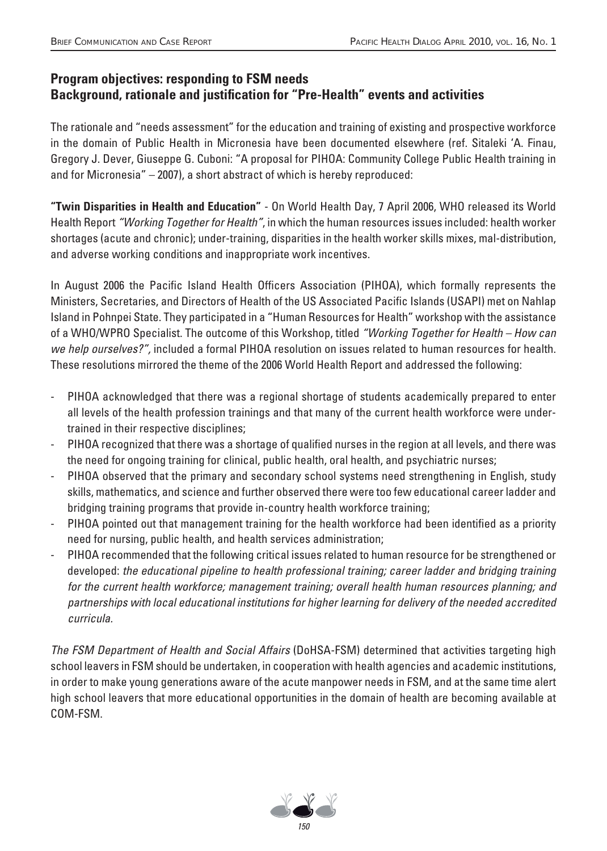### **Program objectives: responding to FSM needs Background, rationale and justification for "Pre-Health" events and activities**

The rationale and "needs assessment" for the education and training of existing and prospective workforce in the domain of Public Health in Micronesia have been documented elsewhere (ref. Sitaleki 'A. Finau, Gregory J. Dever, Giuseppe G. Cuboni: "A proposal for PIHOA: Community College Public Health training in and for Micronesia" – 2007), a short abstract of which is hereby reproduced:

**"Twin Disparities in Health and Education"** - On World Health Day, 7 April 2006, WHO released its World Health Report "Working Together for Health", in which the human resources issues included: health worker shortages (acute and chronic); under-training, disparities in the health worker skills mixes, mal-distribution, and adverse working conditions and inappropriate work incentives.

In August 2006 the Pacific Island Health Officers Association (PIHOA), which formally represents the Ministers, Secretaries, and Directors of Health of the US Associated Pacific Islands (USAPI) met on Nahlap Island in Pohnpei State. They participated in a "Human Resources for Health" workshop with the assistance of a WHO/WPRO Specialist. The outcome of this Workshop, titled "Working Together for Health – How can we help ourselves?", included a formal PIHOA resolution on issues related to human resources for health. These resolutions mirrored the theme of the 2006 World Health Report and addressed the following:

- PIHOA acknowledged that there was a regional shortage of students academically prepared to enter all levels of the health profession trainings and that many of the current health workforce were undertrained in their respective disciplines;
- PIHOA recognized that there was a shortage of qualified nurses in the region at all levels, and there was the need for ongoing training for clinical, public health, oral health, and psychiatric nurses;
- PIHOA observed that the primary and secondary school systems need strengthening in English, study skills, mathematics, and science and further observed there were too few educational career ladder and bridging training programs that provide in-country health workforce training;
- PIHOA pointed out that management training for the health workforce had been identified as a priority need for nursing, public health, and health services administration;
- PIHOA recommended that the following critical issues related to human resource for be strengthened or developed: the educational pipeline to health professional training; career ladder and bridging training for the current health workforce; management training; overall health human resources planning; and partnerships with local educational institutions for higher learning for delivery of the needed accredited curricula.

The FSM Department of Health and Social Affairs (DoHSA-FSM) determined that activities targeting high school leavers in FSM should be undertaken, in cooperation with health agencies and academic institutions, in order to make young generations aware of the acute manpower needs in FSM, and at the same time alert high school leavers that more educational opportunities in the domain of health are becoming available at COM-FSM.

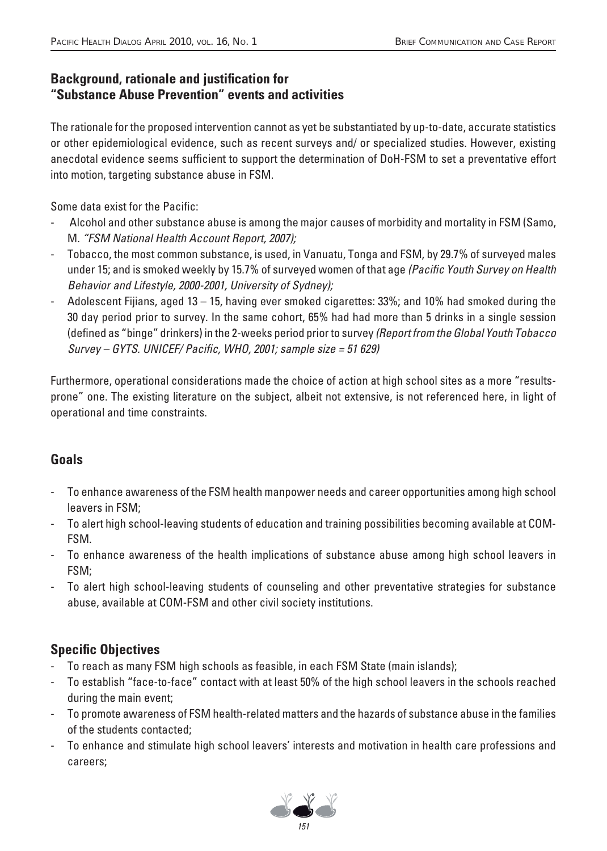#### **Background, rationale and justification for "Substance Abuse Prevention" events and activities**

The rationale for the proposed intervention cannot as yet be substantiated by up-to-date, accurate statistics or other epidemiological evidence, such as recent surveys and/ or specialized studies. However, existing anecdotal evidence seems sufficient to support the determination of DoH-FSM to set a preventative effort into motion, targeting substance abuse in FSM.

Some data exist for the Pacific:

- Alcohol and other substance abuse is among the major causes of morbidity and mortality in FSM (Samo, M. "FSM National Health Account Report, 2007);
- Tobacco, the most common substance, is used, in Vanuatu, Tonga and FSM, by 29.7% of surveyed males under 15; and is smoked weekly by 15.7% of surveyed women of that age (Pacific Youth Survey on Health Behavior and Lifestyle, 2000-2001, University of Sydney);
- Adolescent Fijians, aged 13 15, having ever smoked cigarettes: 33%; and 10% had smoked during the 30 day period prior to survey. In the same cohort, 65% had had more than 5 drinks in a single session (defined as "binge" drinkers) in the 2-weeks period prior to survey (Report from the Global Youth Tobacco  $Survey - GYTS. UNICEF/ Pacific, WHO, 2001; sample size = 51 629$

Furthermore, operational considerations made the choice of action at high school sites as a more "resultsprone" one. The existing literature on the subject, albeit not extensive, is not referenced here, in light of operational and time constraints.

# **Goals**

- To enhance awareness of the FSM health manpower needs and career opportunities among high school leavers in FSM;
- To alert high school-leaving students of education and training possibilities becoming available at COM-FSM.
- To enhance awareness of the health implications of substance abuse among high school leavers in FSM;
- To alert high school-leaving students of counseling and other preventative strategies for substance abuse, available at COM-FSM and other civil society institutions.

# **Specific Objectives**

- To reach as many FSM high schools as feasible, in each FSM State (main islands);
- To establish "face-to-face" contact with at least 50% of the high school leavers in the schools reached during the main event;
- To promote awareness of FSM health-related matters and the hazards of substance abuse in the families of the students contacted;
- To enhance and stimulate high school leavers' interests and motivation in health care professions and careers;

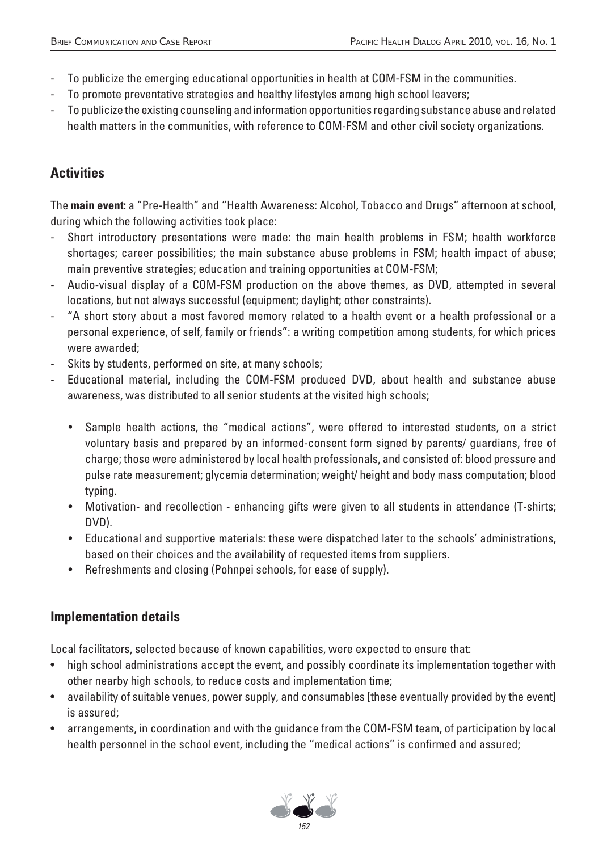- To publicize the emerging educational opportunities in health at COM-FSM in the communities.
- To promote preventative strategies and healthy lifestyles among high school leavers;
- To publicize the existing counseling and information opportunities regarding substance abuse and related health matters in the communities, with reference to COM-FSM and other civil society organizations.

# **Activities**

The **main event:** a "Pre-Health" and "Health Awareness: Alcohol, Tobacco and Drugs" afternoon at school, during which the following activities took place:

- Short introductory presentations were made: the main health problems in FSM; health workforce shortages; career possibilities; the main substance abuse problems in FSM; health impact of abuse; main preventive strategies; education and training opportunities at COM-FSM;
- Audio-visual display of a COM-FSM production on the above themes, as DVD, attempted in several locations, but not always successful (equipment; daylight; other constraints).
- "A short story about a most favored memory related to a health event or a health professional or a personal experience, of self, family or friends": a writing competition among students, for which prices were awarded;
- Skits by students, performed on site, at many schools;
- Educational material, including the COM-FSM produced DVD, about health and substance abuse awareness, was distributed to all senior students at the visited high schools;
	- Sample health actions, the "medical actions", were offered to interested students, on a strict voluntary basis and prepared by an informed-consent form signed by parents/ guardians, free of charge; those were administered by local health professionals, and consisted of: blood pressure and pulse rate measurement; glycemia determination; weight/ height and body mass computation; blood typing.
	- Motivation- and recollection enhancing gifts were given to all students in attendance (T-shirts; DVD).
	- Educational and supportive materials: these were dispatched later to the schools' administrations, based on their choices and the availability of requested items from suppliers.
	- Refreshments and closing (Pohnpei schools, for ease of supply).

# **Implementation details**

Local facilitators, selected because of known capabilities, were expected to ensure that:

- high school administrations accept the event, and possibly coordinate its implementation together with other nearby high schools, to reduce costs and implementation time;
- availability of suitable venues, power supply, and consumables [these eventually provided by the event] is assured;
- arrangements, in coordination and with the guidance from the COM-FSM team, of participation by local health personnel in the school event, including the "medical actions" is confirmed and assured;

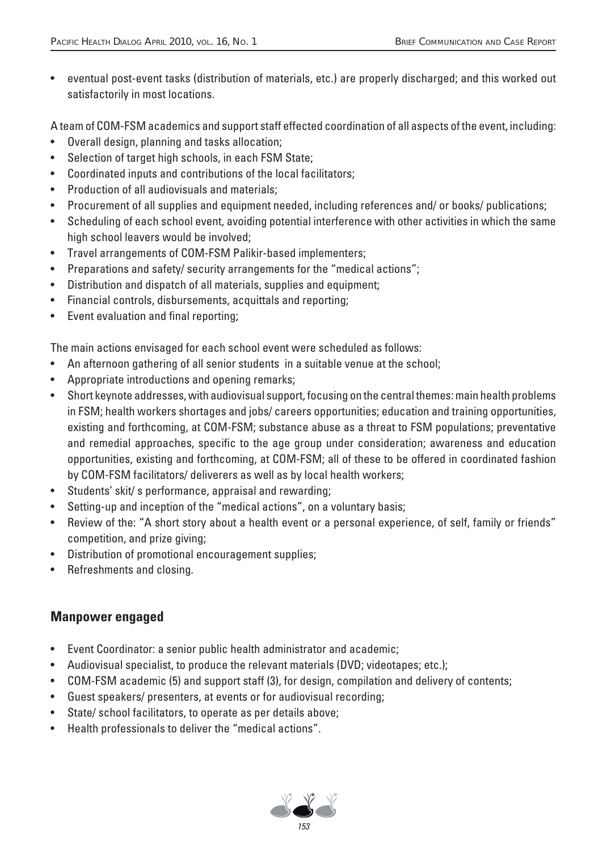• eventual post-event tasks (distribution of materials, etc.) are properly discharged; and this worked out satisfactorily in most locations.

A team of COM-FSM academics and support staff effected coordination of all aspects of the event, including:

- Overall design, planning and tasks allocation;
- Selection of target high schools, in each FSM State;
- Coordinated inputs and contributions of the local facilitators;
- Production of all audiovisuals and materials;
- Procurement of all supplies and equipment needed, including references and/ or books/ publications;
- Scheduling of each school event, avoiding potential interference with other activities in which the same high school leavers would be involved;
- Travel arrangements of COM-FSM Palikir-based implementers;
- Preparations and safety/ security arrangements for the "medical actions";
- Distribution and dispatch of all materials, supplies and equipment;
- Financial controls, disbursements, acquittals and reporting;
- Event evaluation and final reporting;

The main actions envisaged for each school event were scheduled as follows:

- An afternoon gathering of all senior students in a suitable venue at the school;
- Appropriate introductions and opening remarks;
- Short keynote addresses, with audiovisual support, focusing on the central themes: main health problems in FSM; health workers shortages and jobs/ careers opportunities; education and training opportunities, existing and forthcoming, at COM-FSM; substance abuse as a threat to FSM populations; preventative and remedial approaches, specific to the age group under consideration; awareness and education opportunities, existing and forthcoming, at COM-FSM; all of these to be offered in coordinated fashion by COM-FSM facilitators/ deliverers as well as by local health workers;
- Students' skit/ s performance, appraisal and rewarding;
- Setting-up and inception of the "medical actions", on a voluntary basis;
- Review of the: "A short story about a health event or a personal experience, of self, family or friends" competition, and prize giving;
- Distribution of promotional encouragement supplies;
- Refreshments and closing.

#### **Manpower engaged**

- Event Coordinator: a senior public health administrator and academic;
- Audiovisual specialist, to produce the relevant materials (DVD; videotapes; etc.);
- COM-FSM academic (5) and support staff (3), for design, compilation and delivery of contents;
- Guest speakers/ presenters, at events or for audiovisual recording;
- State/ school facilitators, to operate as per details above;
- Health professionals to deliver the "medical actions".

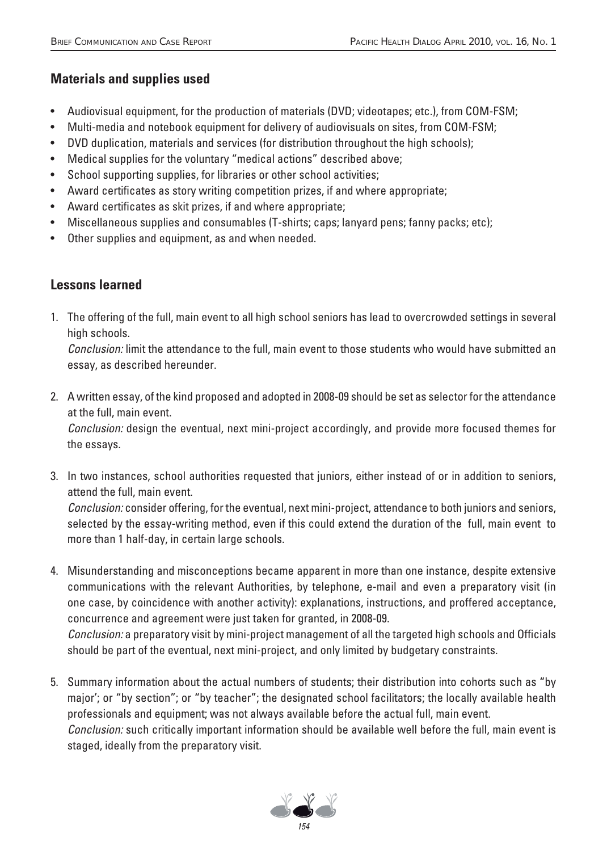### **Materials and supplies used**

- Audiovisual equipment, for the production of materials (DVD; videotapes; etc.), from COM-FSM;
- Multi-media and notebook equipment for delivery of audiovisuals on sites, from COM-FSM;
- DVD duplication, materials and services (for distribution throughout the high schools);
- Medical supplies for the voluntary "medical actions" described above;
- School supporting supplies, for libraries or other school activities;
- Award certificates as story writing competition prizes, if and where appropriate;
- Award certificates as skit prizes, if and where appropriate;
- Miscellaneous supplies and consumables (T-shirts; caps; lanyard pens; fanny packs; etc);
- Other supplies and equipment, as and when needed.

more than 1 half-day, in certain large schools.

### **Lessons learned**

1. The offering of the full, main event to all high school seniors has lead to overcrowded settings in several high schools.

 Conclusion: limit the attendance to the full, main event to those students who would have submitted an essay, as described hereunder.

2. A written essay, of the kind proposed and adopted in 2008-09 should be set as selector for the attendance at the full, main event.

 Conclusion: design the eventual, next mini-project accordingly, and provide more focused themes for the essays.

- 3. In two instances, school authorities requested that juniors, either instead of or in addition to seniors, attend the full, main event. Conclusion: consider offering, for the eventual, next mini-project, attendance to both juniors and seniors, selected by the essay-writing method, even if this could extend the duration of the full, main event to
- 4. Misunderstanding and misconceptions became apparent in more than one instance, despite extensive communications with the relevant Authorities, by telephone, e-mail and even a preparatory visit (in one case, by coincidence with another activity): explanations, instructions, and proffered acceptance, concurrence and agreement were just taken for granted, in 2008-09. Conclusion: a preparatory visit by mini-project management of all the targeted high schools and Officials

should be part of the eventual, next mini-project, and only limited by budgetary constraints.

5. Summary information about the actual numbers of students; their distribution into cohorts such as "by major'; or "by section"; or "by teacher"; the designated school facilitators; the locally available health professionals and equipment; was not always available before the actual full, main event. Conclusion: such critically important information should be available well before the full, main event is staged, ideally from the preparatory visit.

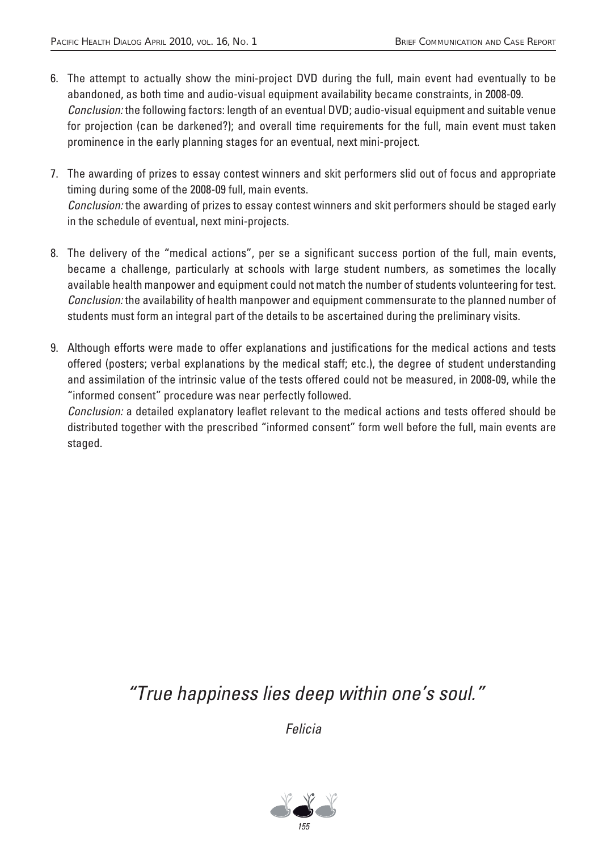- 6. The attempt to actually show the mini-project DVD during the full, main event had eventually to be abandoned, as both time and audio-visual equipment availability became constraints, in 2008-09. Conclusion: the following factors: length of an eventual DVD; audio-visual equipment and suitable venue for projection (can be darkened?); and overall time requirements for the full, main event must taken prominence in the early planning stages for an eventual, next mini-project.
- 7. The awarding of prizes to essay contest winners and skit performers slid out of focus and appropriate timing during some of the 2008-09 full, main events. Conclusion: the awarding of prizes to essay contest winners and skit performers should be staged early in the schedule of eventual, next mini-projects.
- 8. The delivery of the "medical actions", per se a significant success portion of the full, main events, became a challenge, particularly at schools with large student numbers, as sometimes the locally available health manpower and equipment could not match the number of students volunteering for test. Conclusion: the availability of health manpower and equipment commensurate to the planned number of students must form an integral part of the details to be ascertained during the preliminary visits.
- 9. Although efforts were made to offer explanations and justifications for the medical actions and tests offered (posters; verbal explanations by the medical staff; etc.), the degree of student understanding and assimilation of the intrinsic value of the tests offered could not be measured, in 2008-09, while the "informed consent" procedure was near perfectly followed.

Conclusion: a detailed explanatory leaflet relevant to the medical actions and tests offered should be distributed together with the prescribed "informed consent" form well before the full, main events are staged.

"True happiness lies deep within one's soul."

Felicia